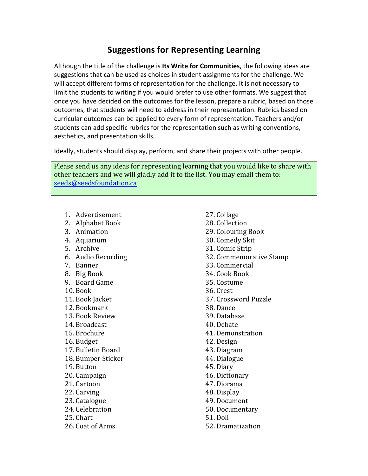## **Suggestions for Representing Learning**

Although the title of the challenge is Its Write for Communities, the following ideas are suggestions that can be used as choices in student assignments for the challenge. We will accept different forms of representation for the challenge. It is not necessary to limit the students to writing if you would prefer to use other formats. We suggest that once you have decided on the outcomes for the lesson, prepare a rubric, based on those outcomes, that students will need to address in their representation. Rubrics based on curricular outcomes can be applied to every form of representation. Teachers and/or students can add specific rubrics for the representation such as writing conventions, aesthetics, and presentation skills.

Ideally, students should display, perform, and share their projects with other people.

Please send us any ideas for representing learning that you would like to share with other teachers and we will gladly add it to the list. You may email them to: seeds@seedsfoundation.ca

- 1. Advertisement
- 2. Alphabet Book
- 3. Animation
- 4. Aquarium
- 5. Archive
- 6. Audio Recording
- 7. Banner
- 8. Big Book
- 9. Board Game
- 10. Book
- 11. Book Jacket
- 12. Bookmark
- 13. Book Review
- 14. Broadcast
- 15. Brochure
- 16. Budget
- 17. Bulletin Board
- 18. Bumper Sticker
- 19. Button
- 20. Campaign
- 21. Cartoon
- 22. Carving
- 23. Catalogue
- 24. Celebration
- 25. Chart
- 26. Coat of Arms
- 27. Collage 28. Collection 29. Colouring Book 30. Comedy Skit 31. Comic Strip 32. Commemorative Stamp 33. Commercial 34. Cook Book 35. Costume 36. Crest 37. Crossword Puzzle 38. Dance 39. Database 40. Debate 41. Demonstration 42. Design 43. Diagram 44. Dialogue 45. Diary 46. Dictionary 47. Diorama 48. Display 49. Document 50. Documentary 51. Doll
- 52. Dramatization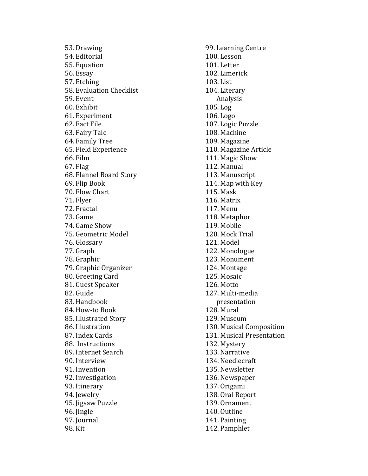53. Drawing 54. Editorial 55. Equation 56. Essay 57. Etching 58. Evaluation Checklist 59. Event 60. Exhibit 61. Experiment 62. Fact File 63. Fairy Tale 64. Family Tree 65. Field Experience 66. Film 67. Flag 68. Flannel Board Story 69. Flip Book 70. Flow Chart 71. Flyer 72. Fractal 73. Game 74. Game Show 75. Geometric Model 76. Glossary 77. Graph 78. Graphic 79. Graphic Organizer 80. Greeting Card 81. Guest Speaker 82. Guide 83. Handbook 84. How-to Book 85. Illustrated Story 86. Illustration 87. Index Cards 88. Instructions 89. Internet Search 90. Interview 91. Invention 92. Investigation 93. Itinerary 94. Jewelry 95. Jigsaw Puzzle 96. Jingle 97. Journal 98. Kit

99. Learning Centre 100. Lesson 101. Letter 102. Limerick 103. List 104. Literary Analysis 105. Log 106. Logo 107. Logic Puzzle 108. Machine 109. Magazine 110. Magazine Article 111. Magic Show 112. Manual 113. Manuscript 114. Map with Key 115. Mask 116. Matrix 117. Menu 118. Metaphor 119. Mobile 120. Mock Trial 121. Model 122. Monologue 123. Monument 124. Montage 125. Mosaic 126. Motto 127. Multi -media presentation 128. Mural 129. Museum 130. Musical Composition 131. Musical Presentation 132. Mystery 133. Narrative 134. Needlecraft 135. Newsletter 136. Newspaper 137. Origami 138. Oral Report 139. Ornament 140. Outline 141. Painting 142. Pamphlet